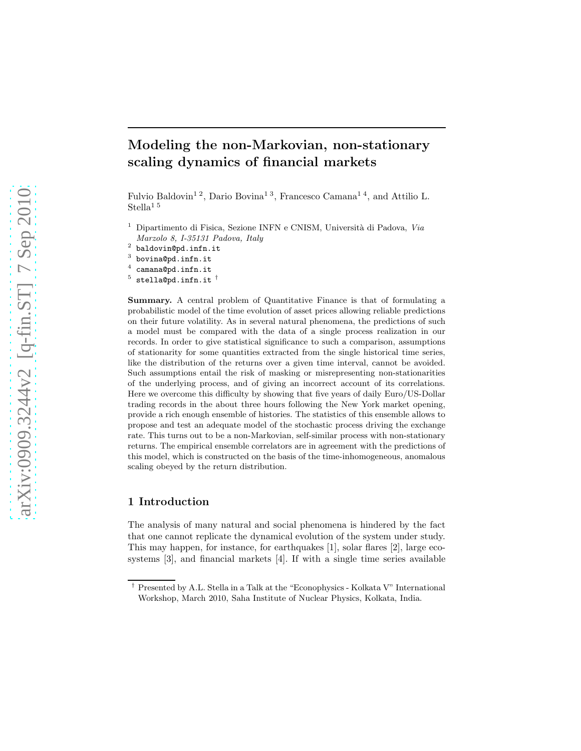# Modeling the non-Markovian, non-stationary scaling dynamics of financial markets

Fulvio Baldovin<sup>12</sup>, Dario Bovina<sup>13</sup>, Francesco Camana<sup>14</sup>, and Attilio L. Stella<sup>15</sup>

<sup>1</sup> Dipartimento di Fisica, Sezione INFN e CNISM, Università di Padova, Via Marzolo 8, I-35131 Padova, Italy

2 baldovin@pd.infn.it

Summary. A central problem of Quantitative Finance is that of formulating a probabilistic model of the time evolution of asset prices allowing reliable predictions on their future volatility. As in several natural phenomena, the predictions of such a model must be compared with the data of a single process realization in our records. In order to give statistical significance to such a comparison, assumptions of stationarity for some quantities extracted from the single historical time series, like the distribution of the returns over a given time interval, cannot be avoided. Such assumptions entail the risk of masking or misrepresenting non-stationarities of the underlying process, and of giving an incorrect account of its correlations. Here we overcome this difficulty by showing that five years of daily Euro/US-Dollar trading records in the about three hours following the New York market opening, provide a rich enough ensemble of histories. The statistics of this ensemble allows to propose and test an adequate model of the stochastic process driving the exchange rate. This turns out to be a non-Markovian, self-similar process with non-stationary returns. The empirical ensemble correlators are in agreement with the predictions of this model, which is constructed on the basis of the time-inhomogeneous, anomalous scaling obeyed by the return distribution.

# 1 Introduction

The analysis of many natural and social phenomena is hindered by the fact that one cannot replicate the dynamical evolution of the system under study. This may happen, for instance, for earthquakes [1], solar flares [2], large ecosystems [3], and financial markets [4]. If with a single time series available

<sup>3</sup> bovina@pd.infn.it

<sup>4</sup> camana@pd.infn.it

<sup>5</sup> stella@pd.infn.it †

<sup>†</sup> Presented by A.L. Stella in a Talk at the "Econophysics - Kolkata V" International Workshop, March 2010, Saha Institute of Nuclear Physics, Kolkata, India.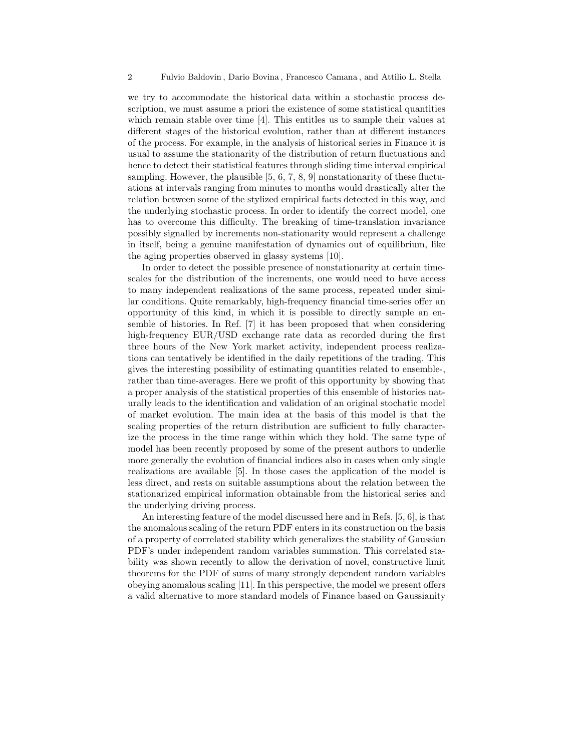we try to accommodate the historical data within a stochastic process description, we must assume a priori the existence of some statistical quantities which remain stable over time [4]. This entitles us to sample their values at different stages of the historical evolution, rather than at different instances of the process. For example, in the analysis of historical series in Finance it is usual to assume the stationarity of the distribution of return fluctuations and hence to detect their statistical features through sliding time interval empirical sampling. However, the plausible  $[5, 6, 7, 8, 9]$  nonstationarity of these fluctuations at intervals ranging from minutes to months would drastically alter the relation between some of the stylized empirical facts detected in this way, and the underlying stochastic process. In order to identify the correct model, one has to overcome this difficulty. The breaking of time-translation invariance possibly signalled by increments non-stationarity would represent a challenge in itself, being a genuine manifestation of dynamics out of equilibrium, like the aging properties observed in glassy systems [10].

In order to detect the possible presence of nonstationarity at certain timescales for the distribution of the increments, one would need to have access to many independent realizations of the same process, repeated under similar conditions. Quite remarkably, high-frequency financial time-series offer an opportunity of this kind, in which it is possible to directly sample an ensemble of histories. In Ref. [7] it has been proposed that when considering high-frequency EUR/USD exchange rate data as recorded during the first three hours of the New York market activity, independent process realizations can tentatively be identified in the daily repetitions of the trading. This gives the interesting possibility of estimating quantities related to ensemble-, rather than time-averages. Here we profit of this opportunity by showing that a proper analysis of the statistical properties of this ensemble of histories naturally leads to the identification and validation of an original stochatic model of market evolution. The main idea at the basis of this model is that the scaling properties of the return distribution are sufficient to fully characterize the process in the time range within which they hold. The same type of model has been recently proposed by some of the present authors to underlie more generally the evolution of financial indices also in cases when only single realizations are available [5]. In those cases the application of the model is less direct, and rests on suitable assumptions about the relation between the stationarized empirical information obtainable from the historical series and the underlying driving process.

An interesting feature of the model discussed here and in Refs. [5, 6], is that the anomalous scaling of the return PDF enters in its construction on the basis of a property of correlated stability which generalizes the stability of Gaussian PDF's under independent random variables summation. This correlated stability was shown recently to allow the derivation of novel, constructive limit theorems for the PDF of sums of many strongly dependent random variables obeying anomalous scaling [11]. In this perspective, the model we present offers a valid alternative to more standard models of Finance based on Gaussianity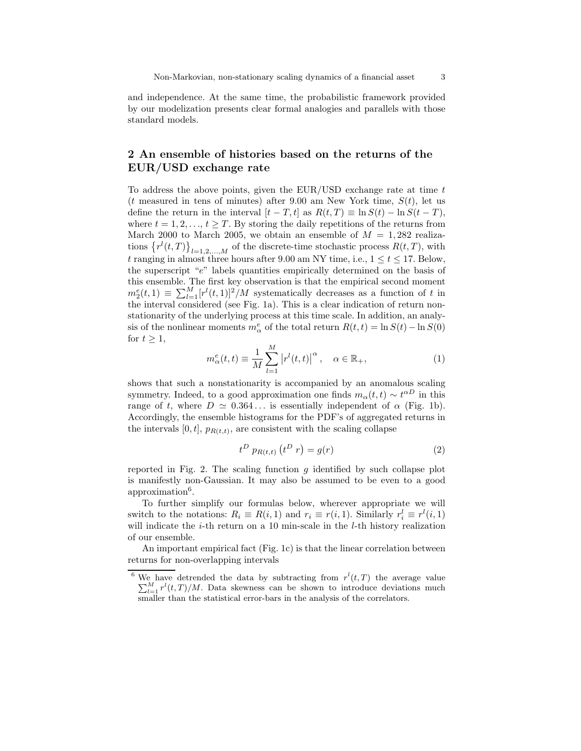and independence. At the same time, the probabilistic framework provided by our modelization presents clear formal analogies and parallels with those standard models.

# 2 An ensemble of histories based on the returns of the EUR/USD exchange rate

To address the above points, given the  $EUR/USD$  exchange rate at time t (t measured in tens of minutes) after 9.00 am New York time,  $S(t)$ , let us define the return in the interval  $[t - T, t]$  as  $R(t, T) \equiv \ln S(t) - \ln S(t - T)$ , where  $t = 1, 2, ..., t \geq T$ . By storing the daily repetitions of the returns from March 2000 to March 2005, we obtain an ensemble of  $M = 1,282$  realizations  $\{r^l(t,T)\}_{l=1,2,\ldots,M}$  of the discrete-time stochastic process  $R(t,T)$ , with t ranging in almost three hours after 9.00 am NY time, i.e.,  $1 \le t \le 17$ . Below, the superscript "e" labels quantities empirically determined on the basis of this ensemble. The first key observation is that the empirical second moment  $m_2^e(t,1) \equiv \sum_{l=1}^{M} [r^l(t,1)]^2/M$  systematically decreases as a function of t in the interval considered (see Fig. 1a). This is a clear indication of return nonstationarity of the underlying process at this time scale. In addition, an analysis of the nonlinear moments  $m_{\alpha}^{e}$  of the total return  $R(t, t) = \ln S(t) - \ln S(0)$ for  $t \geq 1$ ,

$$
m_{\alpha}^{e}(t,t) \equiv \frac{1}{M} \sum_{l=1}^{M} \left| r^{l}(t,t) \right|^{\alpha}, \quad \alpha \in \mathbb{R}_{+}, \tag{1}
$$

shows that such a nonstationarity is accompanied by an anomalous scaling symmetry. Indeed, to a good approximation one finds  $m_{\alpha}(t, t) \sim t^{\alpha D}$  in this range of t, where  $D \simeq 0.364...$  is essentially independent of  $\alpha$  (Fig. 1b). Accordingly, the ensemble histograms for the PDF's of aggregated returns in the intervals  $[0, t]$ ,  $p_{R(t,t)}$ , are consistent with the scaling collapse

$$
t^D p_{R(t,t)} (t^D r) = g(r) \tag{2}
$$

reported in Fig. 2. The scaling function  $g$  identified by such collapse plot is manifestly non-Gaussian. It may also be assumed to be even to a good approximation<sup>6</sup>.

To further simplify our formulas below, wherever appropriate we will switch to the notations:  $R_i \equiv R(i, 1)$  and  $r_i \equiv r(i, 1)$ . Similarly  $r_i^l \equiv r^l(i, 1)$ will indicate the  $i$ -th return on a 10 min-scale in the  $l$ -th history realization of our ensemble.

An important empirical fact (Fig. 1c) is that the linear correlation between returns for non-overlapping intervals

<sup>&</sup>lt;sup>6</sup> We have detrended the data by subtracting from  $r^{l}(t, T)$  the average value  $\sum_{l=1}^{M} r^{l}(t, T) / M$ . Data skewness can be shown to introduce deviations much smaller than the statistical error-bars in the analysis of the correlators.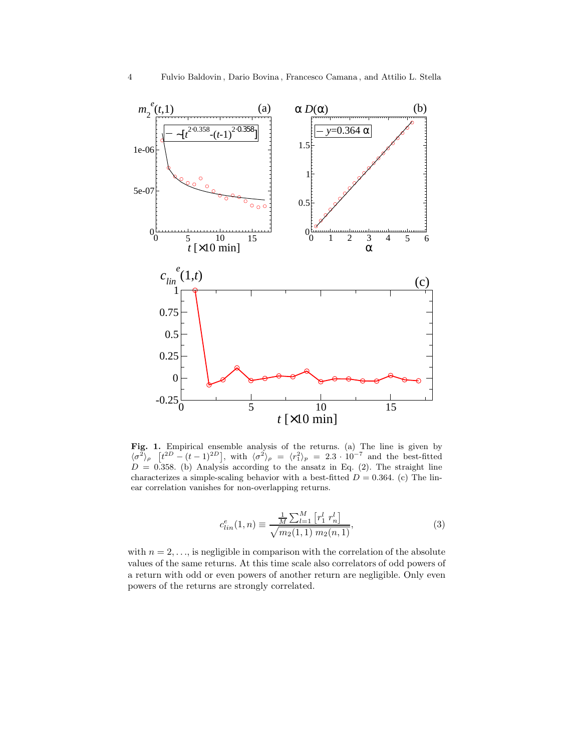

Fig. 1. Empirical ensemble analysis of the returns. (a) The line is given by  $\langle \sigma^2 \rangle_\rho$   $[t^{2D} - (t-1)^{2D}]$ , with  $\langle \sigma^2 \rangle_\rho = \langle r_1^2 \rangle_p = 2.3 \cdot 10^{-7}$  and the best-fitted  $D = 0.358$ . (b) Analysis according to the ansatz in Eq. (2). The straight line characterizes a simple-scaling behavior with a best-fitted  $D = 0.364$ . (c) The linear correlation vanishes for non-overlapping returns.

$$
c_{lin}^e(1,n) \equiv \frac{\frac{1}{M} \sum_{l=1}^{M} \left[ r_1^l \ r_n^l \right]}{\sqrt{m_2(1,1) \ m_2(n,1)}},\tag{3}
$$

with  $n = 2, \ldots$ , is negligible in comparison with the correlation of the absolute values of the same returns. At this time scale also correlators of odd powers of a return with odd or even powers of another return are negligible. Only even powers of the returns are strongly correlated.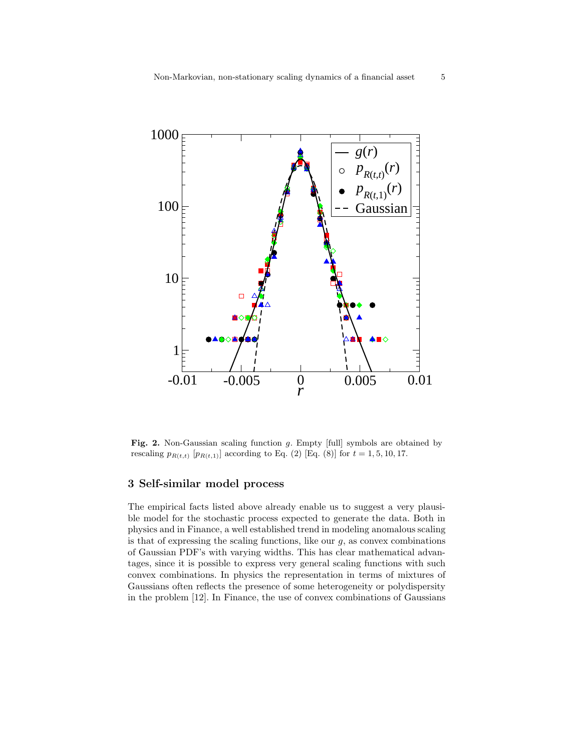

Fig. 2. Non-Gaussian scaling function g. Empty [full] symbols are obtained by rescaling  $p_{R(t,t)}$  [ $p_{R(t,1)}$ ] according to Eq. (2) [Eq. (8)] for  $t = 1, 5, 10, 17$ .

## 3 Self-similar model process

The empirical facts listed above already enable us to suggest a very plausible model for the stochastic process expected to generate the data. Both in physics and in Finance, a well established trend in modeling anomalous scaling is that of expressing the scaling functions, like our  $g$ , as convex combinations of Gaussian PDF's with varying widths. This has clear mathematical advantages, since it is possible to express very general scaling functions with such convex combinations. In physics the representation in terms of mixtures of Gaussians often reflects the presence of some heterogeneity or polydispersity in the problem [12]. In Finance, the use of convex combinations of Gaussians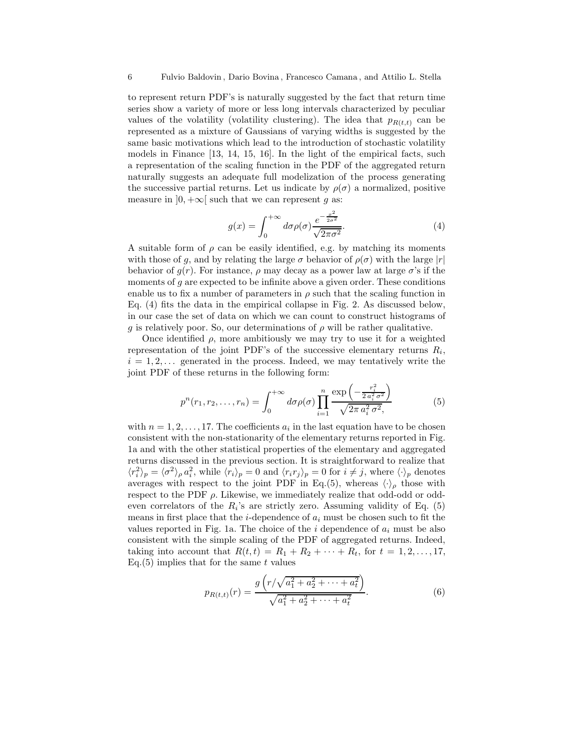to represent return PDF's is naturally suggested by the fact that return time series show a variety of more or less long intervals characterized by peculiar values of the volatility (volatility clustering). The idea that  $p_{R(t,t)}$  can be represented as a mixture of Gaussians of varying widths is suggested by the same basic motivations which lead to the introduction of stochastic volatility models in Finance [13, 14, 15, 16]. In the light of the empirical facts, such a representation of the scaling function in the PDF of the aggregated return naturally suggests an adequate full modelization of the process generating the successive partial returns. Let us indicate by  $\rho(\sigma)$  a normalized, positive measure in  $]0, +\infty[$  such that we can represent g as:

$$
g(x) = \int_0^{+\infty} d\sigma \rho(\sigma) \frac{e^{-\frac{x^2}{2\sigma^2}}}{\sqrt{2\pi\sigma^2}}.
$$
 (4)

A suitable form of  $\rho$  can be easily identified, e.g. by matching its moments with those of g, and by relating the large  $\sigma$  behavior of  $\rho(\sigma)$  with the large  $|r|$ behavior of  $g(r)$ . For instance,  $\rho$  may decay as a power law at large  $\sigma$ 's if the moments of  $g$  are expected to be infinite above a given order. These conditions enable us to fix a number of parameters in  $\rho$  such that the scaling function in Eq. (4) fits the data in the empirical collapse in Fig. 2. As discussed below, in our case the set of data on which we can count to construct histograms of g is relatively poor. So, our determinations of  $\rho$  will be rather qualitative.

Once identified  $\rho$ , more ambitiously we may try to use it for a weighted representation of the joint PDF's of the successive elementary returns  $R_i$ ,  $i = 1, 2, \ldots$  generated in the process. Indeed, we may tentatively write the joint PDF of these returns in the following form:

$$
p^{n}(r_{1}, r_{2}, \dots, r_{n}) = \int_{0}^{+\infty} d\sigma \rho(\sigma) \prod_{i=1}^{n} \frac{\exp\left(-\frac{r_{i}^{2}}{2 a_{i}^{2} \sigma^{2}}\right)}{\sqrt{2 \pi a_{i}^{2} \sigma^{2}}},
$$
(5)

with  $n = 1, 2, \ldots, 17$ . The coefficients  $a_i$  in the last equation have to be chosen consistent with the non-stationarity of the elementary returns reported in Fig. 1a and with the other statistical properties of the elementary and aggregated returns discussed in the previous section. It is straightforward to realize that  $\langle r_i^2 \rangle_p = \langle \sigma^2 \rangle_p a_i^2$ , while  $\langle r_i \rangle_p = 0$  and  $\langle r_i r_j \rangle_p = 0$  for  $i \neq j$ , where  $\langle \cdot \rangle_p$  denotes averages with respect to the joint PDF in Eq.(5), whereas  $\langle \cdot \rangle_{\rho}$  those with respect to the PDF  $\rho$ . Likewise, we immediately realize that odd-odd or oddeven correlators of the  $R_i$ 's are strictly zero. Assuming validity of Eq. (5) means in first place that the *i*-dependence of  $a_i$  must be chosen such to fit the values reported in Fig. 1a. The choice of the i dependence of  $a_i$  must be also consistent with the simple scaling of the PDF of aggregated returns. Indeed, taking into account that  $R(t, t) = R_1 + R_2 + \cdots + R_t$ , for  $t = 1, 2, ..., 17$ , Eq.(5) implies that for the same  $t$  values

$$
p_{R(t,t)}(r) = \frac{g\left(r/\sqrt{a_1^2 + a_2^2 + \dots + a_t^2}\right)}{\sqrt{a_1^2 + a_2^2 + \dots + a_t^2}}.
$$
(6)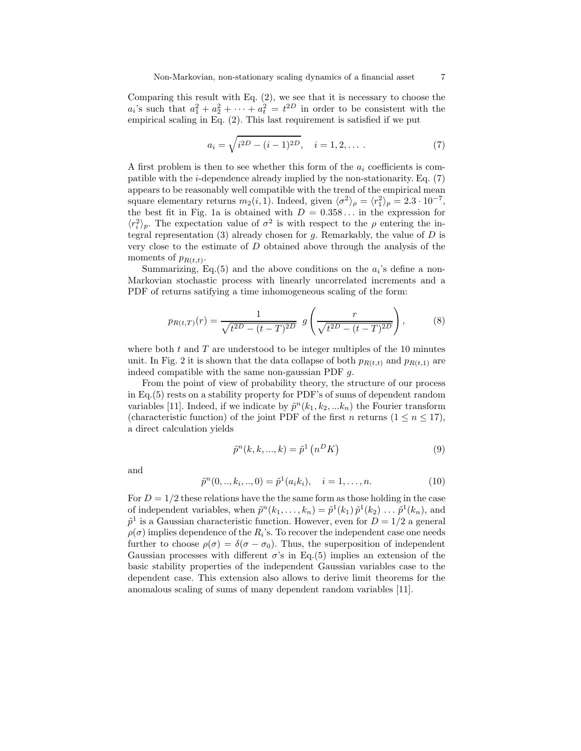Comparing this result with Eq. (2), we see that it is necessary to choose the  $a_i$ 's such that  $a_1^2 + a_2^2 + \cdots + a_t^2 = t^{2D}$  in order to be consistent with the empirical scaling in Eq. (2). This last requirement is satisfied if we put

$$
a_i = \sqrt{i^{2D} - (i-1)^{2D}}, \quad i = 1, 2, \dots
$$
 (7)

A first problem is then to see whether this form of the  $a_i$  coefficients is compatible with the *i*-dependence already implied by the non-stationarity. Eq.  $(7)$ appears to be reasonably well compatible with the trend of the empirical mean square elementary returns  $m_2(i, 1)$ . Indeed, given  $\langle \sigma^2 \rangle_{\rho} = \langle r_1^2 \rangle_{p} = 2.3 \cdot 10^{-7}$ , the best fit in Fig. 1a is obtained with  $D = 0.358...$  in the expression for  $\langle r_i^2 \rangle_p$ . The expectation value of  $\sigma^2$  is with respect to the  $\rho$  entering the integral representation (3) already chosen for  $g$ . Remarkably, the value of  $D$  is very close to the estimate of D obtained above through the analysis of the moments of  $p_{R(t,t)}$ .

Summarizing, Eq.(5) and the above conditions on the  $a_i$ 's define a non-Markovian stochastic process with linearly uncorrelated increments and a PDF of returns satifying a time inhomogeneous scaling of the form:

$$
p_{R(t,T)}(r) = \frac{1}{\sqrt{t^{2D} - (t - T)^{2D}}} g\left(\frac{r}{\sqrt{t^{2D} - (t - T)^{2D}}}\right),
$$
 (8)

where both  $t$  and  $T$  are understood to be integer multiples of the 10 minutes unit. In Fig. 2 it is shown that the data collapse of both  $p_{R(t,t)}$  and  $p_{R(t,1)}$  are indeed compatible with the same non-gaussian PDF  $g$ .

From the point of view of probability theory, the structure of our process in Eq.(5) rests on a stability property for PDF's of sums of dependent random variables [11]. Indeed, if we indicate by  $\tilde{p}^n(k_1, k_2, ... k_n)$  the Fourier transform (characteristic function) of the joint PDF of the first n returns  $(1 \le n \le 17)$ , a direct calculation yields

$$
\tilde{p}^n(k,k,...,k) = \tilde{p}^1\left(n^D K\right) \tag{9}
$$

and

$$
\tilde{p}^{n}(0,..,k_{i},..,0)=\tilde{p}^{1}(a_{i}k_{i}), \quad i=1,\ldots,n.
$$
\n(10)

For  $D = 1/2$  these relations have the the same form as those holding in the case of independent variables, when  $\tilde{p}^n(k_1,\ldots,k_n) = \tilde{p}^1(k_1)\tilde{p}^1(k_2)\ldots\tilde{p}^1(k_n)$ , and  $\tilde{p}^1$  is a Gaussian characteristic function. However, even for  $D=1/2$  a general  $\rho(\sigma)$  implies dependence of the  $R_i$ 's. To recover the independent case one needs further to choose  $\rho(\sigma) = \delta(\sigma - \sigma_0)$ . Thus, the superposition of independent Gaussian processes with different  $\sigma$ 's in Eq.(5) implies an extension of the basic stability properties of the independent Gaussian variables case to the dependent case. This extension also allows to derive limit theorems for the anomalous scaling of sums of many dependent random variables [11].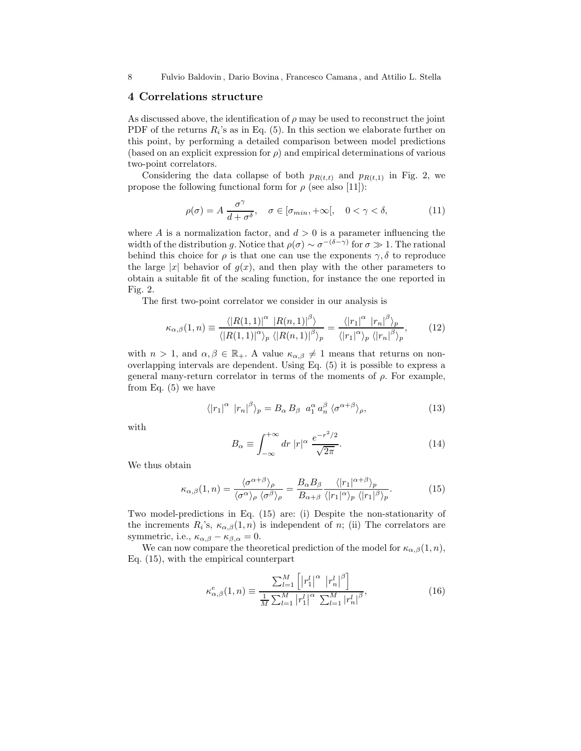8 Fulvio Baldovin , Dario Bovina , Francesco Camana , and Attilio L. Stella

#### 4 Correlations structure

As discussed above, the identification of  $\rho$  may be used to reconstruct the joint PDF of the returns  $R_i$ 's as in Eq. (5). In this section we elaborate further on this point, by performing a detailed comparison between model predictions (based on an explicit expression for  $\rho$ ) and empirical determinations of various two-point correlators.

Considering the data collapse of both  $p_{R(t,t)}$  and  $p_{R(t,1)}$  in Fig. 2, we propose the following functional form for  $\rho$  (see also [11]):

$$
\rho(\sigma) = A \frac{\sigma^{\gamma}}{d + \sigma^{\delta}}, \quad \sigma \in [\sigma_{min}, +\infty[, \quad 0 < \gamma < \delta,
$$
 (11)

where A is a normalization factor, and  $d > 0$  is a parameter influencing the width of the distribution g. Notice that  $\rho(\sigma) \sim \sigma^{-(\delta - \gamma)}$  for  $\sigma \gg 1$ . The rational behind this choice for  $\rho$  is that one can use the exponents  $\gamma$ ,  $\delta$  to reproduce the large |x| behavior of  $q(x)$ , and then play with the other parameters to obtain a suitable fit of the scaling function, for instance the one reported in Fig. 2.

The first two-point correlator we consider in our analysis is

$$
\kappa_{\alpha,\beta}(1,n) \equiv \frac{\langle |R(1,1)|^{\alpha} |R(n,1)|^{\beta} \rangle}{\langle |R(1,1)|^{\alpha} \rangle_p \langle |R(n,1)|^{\beta} \rangle_p} = \frac{\langle |r_1|^{\alpha} |r_n|^{\beta} \rangle_p}{\langle |r_1|^{\alpha} \rangle_p \langle |r_n|^{\beta} \rangle_p},\tag{12}
$$

with  $n > 1$ , and  $\alpha, \beta \in \mathbb{R}_+$ . A value  $\kappa_{\alpha,\beta} \neq 1$  means that returns on nonoverlapping intervals are dependent. Using Eq. (5) it is possible to express a general many-return correlator in terms of the moments of ρ. For example, from Eq. (5) we have

$$
\langle |r_1|^{\alpha} |r_n|^{\beta} \rangle_p = B_{\alpha} B_{\beta} a_1^{\alpha} a_n^{\beta} \langle \sigma^{\alpha+\beta} \rangle_{\rho}, \tag{13}
$$

with

$$
B_{\alpha} \equiv \int_{-\infty}^{+\infty} dr \, |r|^{\alpha} \, \frac{e^{-r^2/2}}{\sqrt{2\pi}}.
$$
 (14)

We thus obtain

$$
\kappa_{\alpha,\beta}(1,n) = \frac{\langle \sigma^{\alpha+\beta} \rangle_{\rho}}{\langle \sigma^{\alpha} \rangle_{\rho} \langle \sigma^{\beta} \rangle_{\rho}} = \frac{B_{\alpha} B_{\beta}}{B_{\alpha+\beta}} \frac{\langle |r_1|^{\alpha+\beta} \rangle_{p}}{\langle |r_1|^{\alpha} \rangle_{p} \langle |r_1|^{\beta} \rangle_{p}}.
$$
(15)

Two model-predictions in Eq. (15) are: (i) Despite the non-stationarity of the increments  $R_i$ 's,  $\kappa_{\alpha,\beta}(1,n)$  is independent of n; (ii) The correlators are symmetric, i.e.,  $\kappa_{\alpha,\beta} - \kappa_{\beta,\alpha} = 0$ .

We can now compare the theoretical prediction of the model for  $\kappa_{\alpha,\beta}(1,n)$ , Eq. (15), with the empirical counterpart

$$
\kappa_{\alpha,\beta}^{e}(1,n) \equiv \frac{\sum_{l=1}^{M} \left[ |r_{1}^{l}|^{\alpha} |r_{n}^{l}|^{\beta} \right]}{\frac{1}{M} \sum_{l=1}^{M} |r_{1}^{l}|^{\alpha} \sum_{l=1}^{M} |r_{n}^{l}|^{\beta}},
$$
\n(16)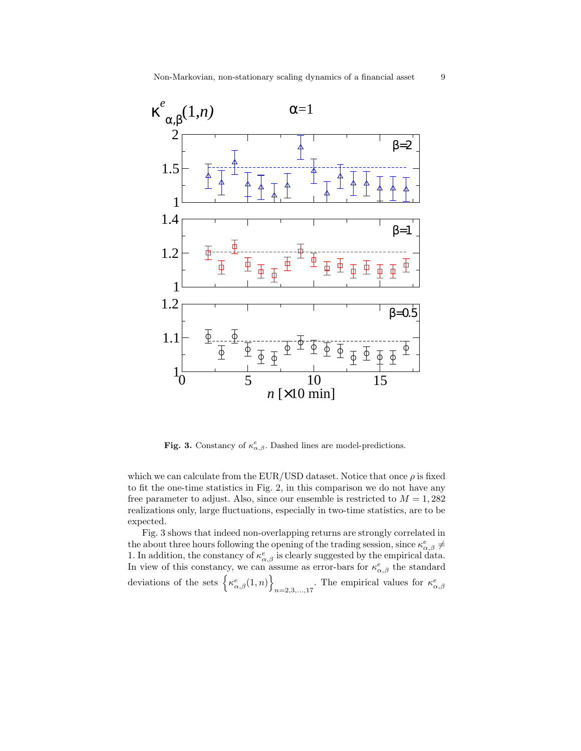

Fig. 3. Constancy of  $\kappa_{\alpha,\beta}^e$ . Dashed lines are model-predictions.

which we can calculate from the EUR/USD dataset. Notice that once  $\rho$  is fixed to fit the one-time statistics in Fig. 2, in this comparison we do not have any free parameter to adjust. Also, since our ensemble is restricted to  $M = 1,282$ realizations only, large fluctuations, especially in two-time statistics, are to be expected.

Fig. 3 shows that indeed non-overlapping returns are strongly correlated in the about three hours following the opening of the trading session, since  $\kappa_{\alpha,\beta}^e \neq$ 1. In addition, the constancy of  $\kappa^e_{\alpha,\beta}$  is clearly suggested by the empirical data. In view of this constancy, we can assume as error-bars for  $\kappa_{\alpha,\beta}^e$  the standard deviations of the sets  $\left\{\kappa_{\alpha,\beta}^{e}(1,n)\right\}$ . The empirical values for  $\kappa_{\alpha,\beta}^e$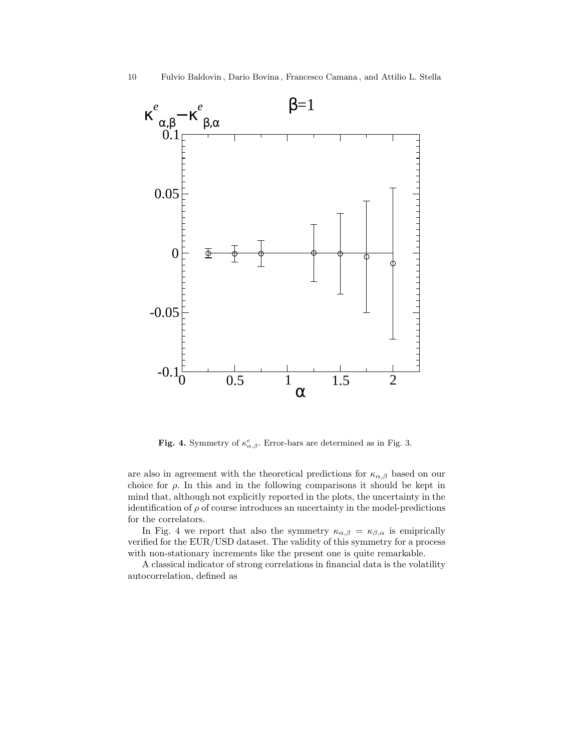

Fig. 4. Symmetry of  $\kappa_{\alpha,\beta}^e$ . Error-bars are determined as in Fig. 3.

are also in agreement with the theoretical predictions for  $\kappa_{\alpha,\beta}$  based on our choice for  $\rho$ . In this and in the following comparisons it should be kept in mind that, although not explicitly reported in the plots, the uncertainty in the identification of  $\rho$  of course introduces an uncertainty in the model-predictions for the correlators.

In Fig. 4 we report that also the symmetry  $\kappa_{\alpha,\beta} = \kappa_{\beta,\alpha}$  is emiprically verified for the EUR/USD dataset. The validity of this symmetry for a process with non-stationary increments like the present one is quite remarkable.

A classical indicator of strong correlations in financial data is the volatility autocorrelation, defined as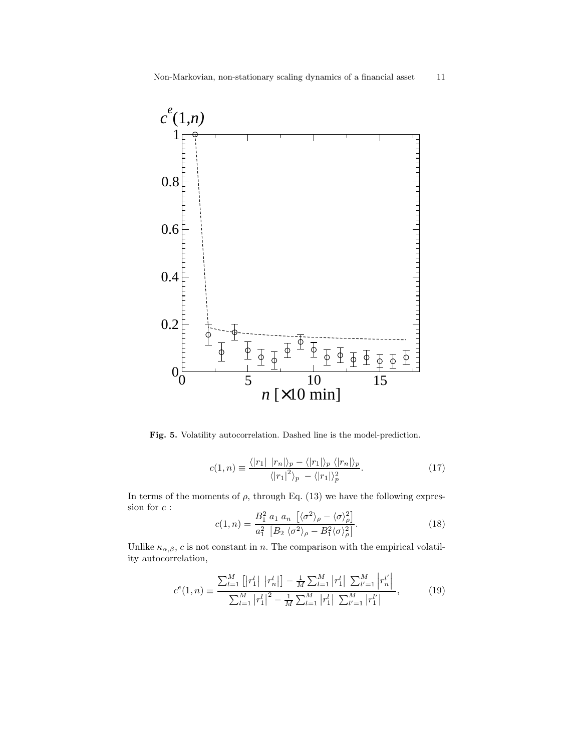

Fig. 5. Volatility autocorrelation. Dashed line is the model-prediction.

$$
c(1,n) \equiv \frac{\langle |r_1| \ |r_n| \rangle_p - \langle |r_1| \rangle_p \ \langle |r_n| \rangle_p}{\langle |r_1|^2 \rangle_p - \langle |r_1| \rangle_p^2}.\tag{17}
$$

In terms of the moments of  $\rho$ , through Eq. (13) we have the following expression for  $\boldsymbol{c}$  :

$$
c(1,n) = \frac{B_1^2 a_1 a_n \left[ \langle \sigma^2 \rangle_\rho - \langle \sigma \rangle_\rho^2 \right]}{a_1^2 \left[ B_2 \langle \sigma^2 \rangle_\rho - B_1^2 \langle \sigma \rangle_\rho^2 \right]}.
$$
(18)

Unlike  $\kappa_{\alpha,\beta}$ , c is not constant in n. The comparison with the empirical volatility autocorrelation,

$$
c^{e}(1,n) \equiv \frac{\sum_{l=1}^{M} \left[ |r_{1}^{l}| \left| r_{n}^{l} \right| \right] - \frac{1}{M} \sum_{l=1}^{M} \left| r_{1}^{l} \right| \sum_{l'=1}^{M} \left| r_{n}^{l'} \right|}{\sum_{l=1}^{M} \left| r_{1}^{l} \right|^{2} - \frac{1}{M} \sum_{l=1}^{M} \left| r_{1}^{l} \right| \sum_{l'=1}^{M} \left| r_{1}^{l'} \right|},
$$
(19)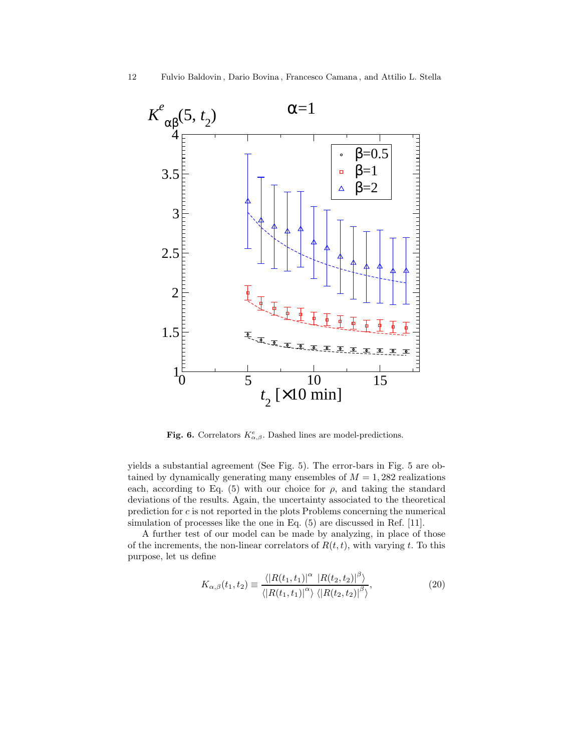

Fig. 6. Correlators  $K_{\alpha,\beta}^e$ . Dashed lines are model-predictions.

yields a substantial agreement (See Fig. 5). The error-bars in Fig. 5 are obtained by dynamically generating many ensembles of  $M = 1,282$  realizations each, according to Eq. (5) with our choice for  $\rho$ , and taking the standard deviations of the results. Again, the uncertainty associated to the theoretical prediction for c is not reported in the plots Problems concerning the numerical simulation of processes like the one in Eq. (5) are discussed in Ref. [11].

A further test of our model can be made by analyzing, in place of those of the increments, the non-linear correlators of  $R(t, t)$ , with varying t. To this purpose, let us define

$$
K_{\alpha,\beta}(t_1, t_2) \equiv \frac{\langle |R(t_1, t_1)|^{\alpha} |R(t_2, t_2)|^{\beta} \rangle}{\langle |R(t_1, t_1)|^{\alpha} \rangle \langle |R(t_2, t_2)|^{\beta} \rangle},\tag{20}
$$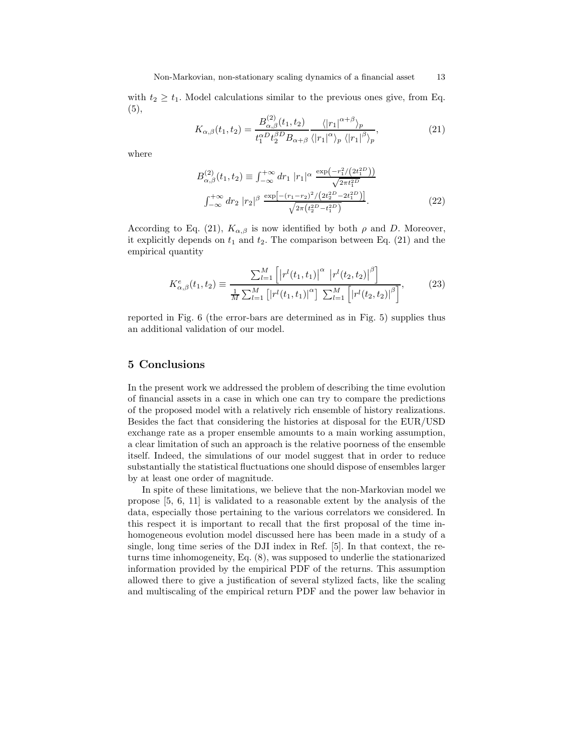with  $t_2 \geq t_1$ . Model calculations similar to the previous ones give, from Eq. (5),

$$
K_{\alpha,\beta}(t_1, t_2) = \frac{B_{\alpha,\beta}^{(2)}(t_1, t_2)}{t_1^{\alpha D} t_2^{\beta D} B_{\alpha+\beta}} \frac{\langle |r_1|^{\alpha+\beta} \rangle_p}{\langle |r_1|^\alpha \rangle_p \langle |r_1|^\beta \rangle_p},\tag{21}
$$

where

$$
B_{\alpha,\beta}^{(2)}(t_1, t_2) \equiv \int_{-\infty}^{+\infty} dr_1 \left| r_1 \right|^\alpha \frac{\exp\left(-r_1^2/(2t_1^{2D})\right)}{\sqrt{2\pi t_1^{2D}}}
$$

$$
\int_{-\infty}^{+\infty} dr_2 \left| r_2 \right|^\beta \frac{\exp\left[-\left(r_1 - r_2\right)^2/\left(2t_2^{2D} - 2t_1^{2D}\right)\right]}{\sqrt{2\pi (t_2^{2D} - t_1^{2D})}}.
$$
(22)

According to Eq. (21),  $K_{\alpha,\beta}$  is now identified by both  $\rho$  and D. Moreover, it explicitly depends on  $t_1$  and  $t_2$ . The comparison between Eq. (21) and the empirical quantity

$$
K_{\alpha,\beta}^{e}(t_1, t_2) \equiv \frac{\sum_{l=1}^{M} \left[ \left| r^{l}(t_1, t_1) \right|^{\alpha} \left| r^{l}(t_2, t_2) \right|^{\beta} \right]}{\frac{1}{M} \sum_{l=1}^{M} \left[ \left| r^{l}(t_1, t_1) \right|^{\alpha} \right] \sum_{l=1}^{M} \left[ \left| r^{l}(t_2, t_2) \right|^{\beta} \right]},
$$
(23)

reported in Fig. 6 (the error-bars are determined as in Fig. 5) supplies thus an additional validation of our model.

## 5 Conclusions

In the present work we addressed the problem of describing the time evolution of financial assets in a case in which one can try to compare the predictions of the proposed model with a relatively rich ensemble of history realizations. Besides the fact that considering the histories at disposal for the EUR/USD exchange rate as a proper ensemble amounts to a main working assumption, a clear limitation of such an approach is the relative poorness of the ensemble itself. Indeed, the simulations of our model suggest that in order to reduce substantially the statistical fluctuations one should dispose of ensembles larger by at least one order of magnitude.

In spite of these limitations, we believe that the non-Markovian model we propose [5, 6, 11] is validated to a reasonable extent by the analysis of the data, especially those pertaining to the various correlators we considered. In this respect it is important to recall that the first proposal of the time inhomogeneous evolution model discussed here has been made in a study of a single, long time series of the DJI index in Ref. [5]. In that context, the returns time inhomogeneity, Eq. (8), was supposed to underlie the stationarized information provided by the empirical PDF of the returns. This assumption allowed there to give a justification of several stylized facts, like the scaling and multiscaling of the empirical return PDF and the power law behavior in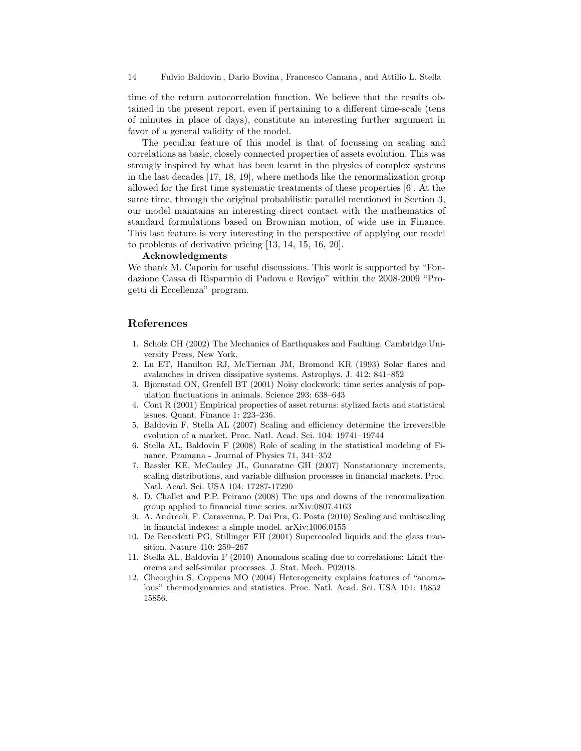time of the return autocorrelation function. We believe that the results obtained in the present report, even if pertaining to a different time-scale (tens of minutes in place of days), constitute an interesting further argument in favor of a general validity of the model.

The peculiar feature of this model is that of focussing on scaling and correlations as basic, closely connected properties of assets evolution. This was strongly inspired by what has been learnt in the physics of complex systems in the last decades [17, 18, 19], where methods like the renormalization group allowed for the first time systematic treatments of these properties [6]. At the same time, through the original probabilistic parallel mentioned in Section 3, our model maintains an interesting direct contact with the mathematics of standard formulations based on Brownian motion, of wide use in Finance. This last feature is very interesting in the perspective of applying our model to problems of derivative pricing [13, 14, 15, 16, 20].

#### Acknowledgments

We thank M. Caporin for useful discussions. This work is supported by "Fondazione Cassa di Risparmio di Padova e Rovigo" within the 2008-2009 "Progetti di Eccellenza" program.

## References

- 1. Scholz CH (2002) The Mechanics of Earthquakes and Faulting. Cambridge University Press, New York.
- 2. Lu ET, Hamilton RJ, McTiernan JM, Bromond KR (1993) Solar flares and avalanches in driven dissipative systems. Astrophys. J. 412: 841–852
- 3. Bjornstad ON, Grenfell BT (2001) Noisy clockwork: time series analysis of population fluctuations in animals. Science 293: 638–643
- 4. Cont R (2001) Empirical properties of asset returns: stylized facts and statistical issues. Quant. Finance 1: 223–236.
- 5. Baldovin F, Stella AL (2007) Scaling and efficiency determine the irreversible evolution of a market. Proc. Natl. Acad. Sci. 104: 19741–19744
- 6. Stella AL, Baldovin F (2008) Role of scaling in the statistical modeling of Finance. Pramana - Journal of Physics 71, 341–352
- 7. Bassler KE, McCauley JL, Gunaratne GH (2007) Nonstationary increments, scaling distributions, and variable diffusion processes in financial markets. Proc. Natl. Acad. Sci. USA 104: 17287-17290
- 8. D. Challet and P.P. Peirano (2008) The ups and downs of the renormalization group applied to financial time series. arXiv:0807.4163
- 9. A. Andreoli, F. Caravenna, P. Dai Pra, G. Posta (2010) Scaling and multiscaling in financial indexes: a simple model. arXiv:1006.0155
- 10. De Benedetti PG, Stillinger FH (2001) Supercooled liquids and the glass transition. Nature 410: 259–267
- 11. Stella AL, Baldovin F (2010) Anomalous scaling due to correlations: Limit theorems and self-similar processes. J. Stat. Mech. P02018.
- 12. Gheorghiu S, Coppens MO (2004) Heterogeneity explains features of "anomalous" thermodynamics and statistics. Proc. Natl. Acad. Sci. USA 101: 15852– 15856.